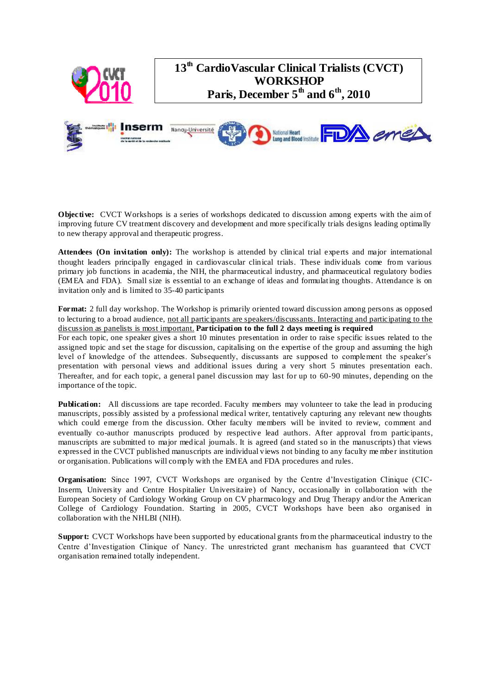

**Objective:** CVCT Workshops is a series of workshops dedicated to discussion among experts with the aim of improving future CV treatment discovery and development and more specifically trials designs leading optimally to new therapy approval and therapeutic progress.

**Attendees (On invitation only):** The workshop is attended by clinical trial experts and major international thought leaders principally engaged in cardiovascular clinical trials. These individuals come from various primary job functions in academia, the NIH, the pharmaceutical industry, and pharmaceutical regulatory bodies (EMEA and FDA). Small size is essential to an exchange of ideas and formulating thoughts. Attendance is on invitation only and is limited to 35-40 participants

**Format:** 2 full day workshop. The Workshop is primarily oriented toward discussion among persons as opposed to lecturing to a broad audience, not all participants are speakers/discussants. Interacting and participating to the discussion as panelists is most important. **Participation to the full 2 days meeting is required**

For each topic, one speaker gives a short 10 minutes presentation in order to raise specific issues related to the assigned topic and set the stage for discussion, capitalising on the expertise of the group and assuming the high level of knowledge of the attendees. Subsequently, discussants are supposed to complement the speaker's presentation with personal views and additional issues during a very short 5 minutes presentation each. Thereafter, and for each topic, a general panel discussion may last for up to 60-90 minutes, depending on the importance of the topic.

**Publication:** All discussions are tape recorded. Faculty members may volunteer to take the lead in producing manuscripts, possibly assisted by a professional medical writer, tentatively capturing any relevant new thoughts which could emerge from the discussion. Other faculty members will be invited to review, comment and eventually co-author manuscripts produced by respective lead authors. After approval from participants, manuscripts are submitted to major medical journals. It is agreed (and stated so in the manuscripts) that views expressed in the CVCT published manuscripts are individual views not binding to any faculty me mber institution or organisation. Publications will comply with the EMEA and FDA procedures and rules.

**Organisation:** Since 1997, CVCT Workshops are organised by the Centre d'Investigation Clinique (CIC-Inserm, University and Centre Hospitalier Universitaire) of Nancy, occasionally in collaboration with the European Society of Cardiology Working Group on CV pharmacology and Drug Therapy and/or the American College of Cardiology Foundation. Starting in 2005, CVCT Workshops have been also organised in collaboration with the NHLBI (NIH).

**Support:** CVCT Workshops have been supported by educational grants from the pharmaceutical industry to the Centre d'Investigation Clinique of Nancy. The unrestricted grant mechanism has guaranteed that CVCT organisation remained totally independent.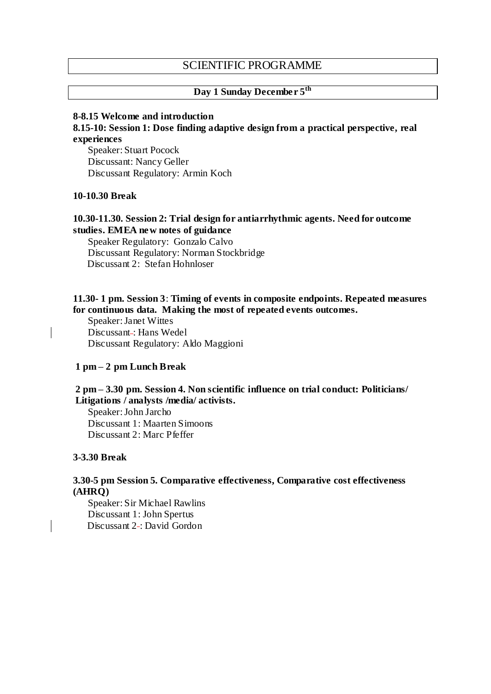# SCIENTIFIC PROGRAMME

# **Day 1 Sunday December 5th**

#### **8-8.15 Welcome and introduction**

**8.15-10: Session 1: Dose finding adaptive design from a practical perspective, real experiences**

Speaker: Stuart Pocock Discussant: Nancy Geller Discussant Regulatory: Armin Koch

#### **10-10.30 Break**

#### **10.30-11.30. Session 2: Trial design for antiarrhythmic agents. Need for outcome studies. EMEA new notes of guidance**

Speaker Regulatory: Gonzalo Calvo Discussant Regulatory: Norman Stockbridge Discussant 2: Stefan Hohnloser

### **11.30- 1 pm. Session 3**: **Timing of events in composite endpoints. Repeated measures for continuous data. Making the most of repeated events outcomes.**

Speaker: Janet Wittes Discussant -: Hans Wedel Discussant Regulatory: Aldo Maggioni

## **1 pm – 2 pm Lunch Break**

#### **2 pm – 3.30 pm. Session 4. Non scientific influence on trial conduct: Politicians/ Litigations / analysts /media/ activists.**

Speaker: John Jarcho Discussant 1: Maarten Simoons Discussant 2: Marc Pfeffer

#### **3-3.30 Break**

### **3.30-5 pm Session 5. Comparative effectiveness, Comparative cost effectiveness (AHRQ)**

Speaker: Sir Michael Rawlins Discussant 1: John Spertus Discussant 2-: David Gordon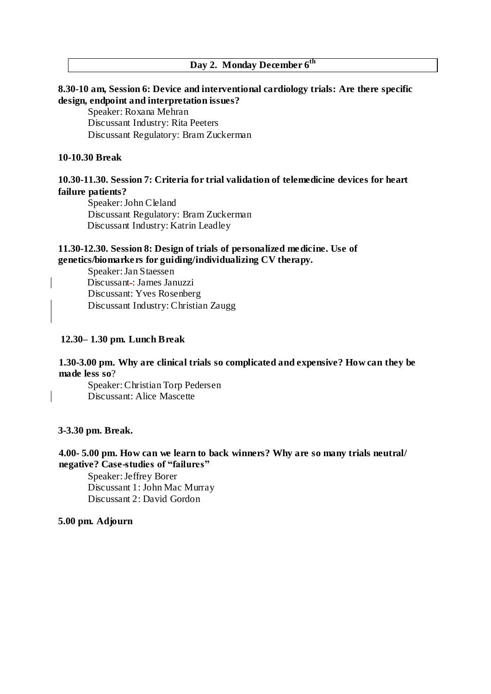# **Day 2. Monday December 6th**

## **8.30-10 am, Session 6: Device and interventional cardiology trials: Are there specific design, endpoint and interpretation issues?**

Speaker: Roxana Mehran Discussant Industry: Rita Peeters Discussant Regulatory: Bram Zuckerman

## **10-10.30 Break**

# **10.30-11.30. Session 7: Criteria for trial validation of telemedicine devices for heart failure patients?**

Speaker: John Cleland Discussant Regulatory: Bram Zuckerman Discussant Industry: Katrin Leadley

## **11.30-12.30. Session 8: Design of trials of personalized medicine. Use of genetics/biomarkers for guiding/individualizing CV therapy.**

Speaker: Jan Staessen Discussant -: James Januzzi Discussant: Yves Rosenberg Discussant Industry: Christian Zaugg

### **12.30– 1.30 pm. Lunch Break**

### **1.30-3.00 pm. Why are clinical trials so complicated and expensive? How can they be made less so**?

Speaker: Christian Torp Pedersen Discussant: Alice Mascette

### **3-3.30 pm. Break.**

### **4.00- 5.00 pm. How can we learn to back winners? Why are so many trials neutral/ negative? Case-studies of "failures"**

Speaker: Jeffrey Borer Discussant 1: John Mac Murray Discussant 2: David Gordon

## **5.00 pm. Adjourn**